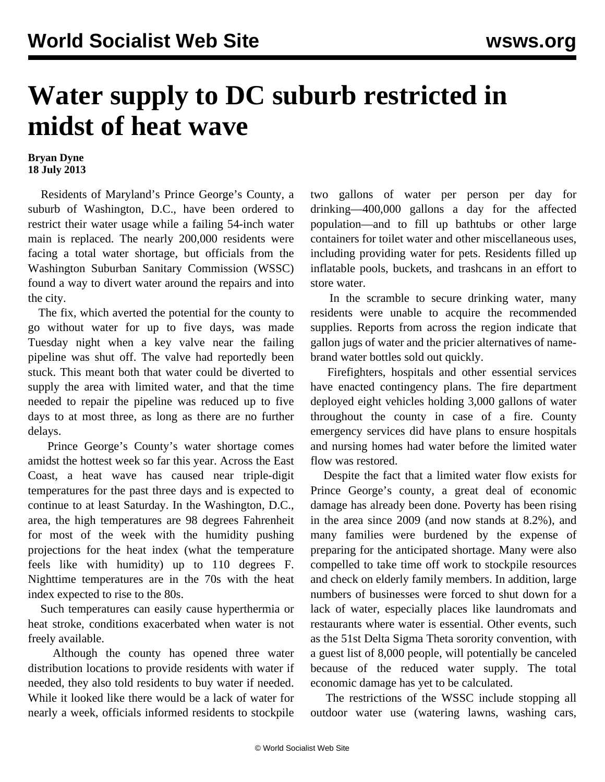## **Water supply to DC suburb restricted in midst of heat wave**

## **Bryan Dyne 18 July 2013**

 Residents of Maryland's Prince George's County, a suburb of Washington, D.C., have been ordered to restrict their water usage while a failing 54-inch water main is replaced. The nearly 200,000 residents were facing a total water shortage, but officials from the Washington Suburban Sanitary Commission (WSSC) found a way to divert water around the repairs and into the city.

 The fix, which averted the potential for the county to go without water for up to five days, was made Tuesday night when a key valve near the failing pipeline was shut off. The valve had reportedly been stuck. This meant both that water could be diverted to supply the area with limited water, and that the time needed to repair the pipeline was reduced up to five days to at most three, as long as there are no further delays.

 Prince George's County's water shortage comes amidst the hottest week so far this year. Across the East Coast, a heat wave has caused near triple-digit temperatures for the past three days and is expected to continue to at least Saturday. In the Washington, D.C., area, the high temperatures are 98 degrees Fahrenheit for most of the week with the humidity pushing projections for the heat index (what the temperature feels like with humidity) up to 110 degrees F. Nighttime temperatures are in the 70s with the heat index expected to rise to the 80s.

 Such temperatures can easily cause hyperthermia or heat stroke, conditions exacerbated when water is not freely available.

 Although the county has opened three [water](http://www.nbcwash) [distribution locations](http://www.nbcwash) to provide residents with water if needed, they also told residents to buy water if needed. While it looked like there would be a lack of water for nearly a week, officials informed residents to stockpile

two gallons of water per person per day for drinking—400,000 gallons a day for the affected population—and to fill up bathtubs or other large containers for toilet water and other miscellaneous uses, including providing water for pets. Residents filled up inflatable pools, buckets, and trashcans in an effort to store water.

 In the scramble to secure drinking water, many residents were unable to acquire the recommended supplies. Reports from across the region indicate that gallon jugs of water and the pricier alternatives of namebrand water bottles sold out quickly.

 Firefighters, hospitals and other essential services have enacted contingency plans. The fire department deployed eight vehicles holding 3,000 gallons of water throughout the county in case of a fire. County emergency services did have plans to ensure hospitals and nursing homes had water before the limited water flow was restored.

 Despite the fact that a limited water flow exists for Prince George's county, a great deal of economic damage has already been done. Poverty has been rising in the area since 2009 (and now stands at 8.2%), and many families were burdened by the expense of preparing for the anticipated shortage. Many were also compelled to take time off work to stockpile resources and check on elderly family members. In addition, large numbers of businesses were forced to shut down for a lack of water, especially places like laundromats and restaurants where water is essential. Other events, such as the 51st Delta Sigma Theta sorority convention, with a guest list of 8,000 people, will potentially be canceled because of the reduced water supply. The total economic damage has yet to be calculated.

 The restrictions of the WSSC include stopping all outdoor water use (watering lawns, washing cars,